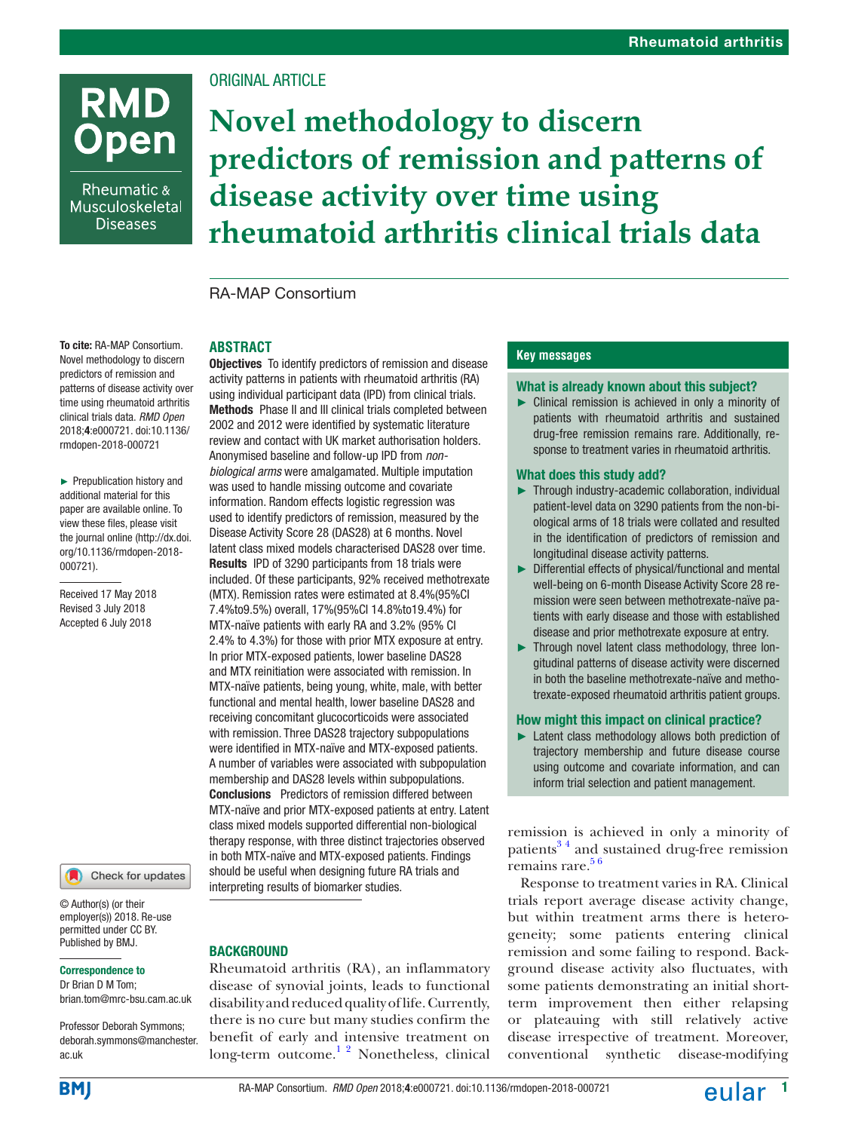

Rheumatic & Musculoskeletal **Diseases** 

# ORIGINAL ARTICLE

# **Novel methodology to discern predictors of remission and patterns of disease activity over time using rheumatoid arthritis clinical trials data**

RA-MAP Consortium

## **Abstract**

To cite: RA-MAP Consortium. Novel methodology to discern predictors of remission and patterns of disease activity over time using rheumatoid arthritis clinical trials data. *RMD Open* 2018;4:e000721. doi:10.1136/ rmdopen-2018-000721

► Prepublication history and additional material for this paper are available online. To view these files, please visit the journal online ([http://dx.doi.](http://dx.doi.org/10.1136/10.1136/rmdopen-2018-000721) [org/10.1136/rmdopen-2018-](http://dx.doi.org/10.1136/10.1136/rmdopen-2018-000721) [000721](http://dx.doi.org/10.1136/10.1136/rmdopen-2018-000721)).

Received 17 May 2018 Revised 3 July 2018 Accepted 6 July 2018

Check for updates

© Author(s) (or their employer(s)) 2018. Re-use permitted under CC BY. Published by BMJ.

# Correspondence to

Dr Brian D M Tom; brian.tom@mrc-bsu.cam.ac.uk

Professor Deborah Symmons; deborah.symmons@manchester. ac.uk

Objectives To identify predictors of remission and disease activity patterns in patients with rheumatoid arthritis (RA) using individual participant data (IPD) from clinical trials. Methods Phase II and III clinical trials completed between 2002 and 2012 were identified by systematic literature review and contact with UK market authorisation holders. Anonymised baseline and follow-up IPD from *nonbiological arms* were amalgamated. Multiple imputation was used to handle missing outcome and covariate information. Random effects logistic regression was used to identify predictors of remission, measured by the Disease Activity Score 28 (DAS28) at 6 months. Novel latent class mixed models characterised DAS28 over time. Results IPD of 3290 participants from 18 trials were included. Of these participants, 92% received methotrexate (MTX). Remission rates were estimated at 8.4%(95%CI 7.4%to9.5%) overall, 17%(95%CI 14.8%to19.4%) for MTX-naïve patients with early RA and 3.2% (95% CI 2.4% to 4.3%) for those with prior MTX exposure at entry. In prior MTX-exposed patients, lower baseline DAS28 and MTX reinitiation were associated with remission. In MTX-naïve patients, being young, white, male, with better functional and mental health, lower baseline DAS28 and receiving concomitant glucocorticoids were associated with remission. Three DAS28 trajectory subpopulations were identified in MTX-naïve and MTX-exposed patients. A number of variables were associated with subpopulation membership and DAS28 levels within subpopulations. Conclusions Predictors of remission differed between MTX-naïve and prior MTX-exposed patients at entry. Latent class mixed models supported differential non-biological therapy response, with three distinct trajectories observed in both MTX-naïve and MTX-exposed patients. Findings should be useful when designing future RA trials and interpreting results of biomarker studies.

## **BACKGROUND**

Rheumatoid arthritis (RA), an inflammatory disease of synovial joints, leads to functional disability and reduced quality of life. Currently, there is no cure but many studies confirm the benefit of early and intensive treatment on long-term outcome.<sup>12</sup> Nonetheless, clinical

## **Key messages**

## What is already known about this subject?

► Clinical remission is achieved in only a minority of patients with rheumatoid arthritis and sustained drug-free remission remains rare. Additionally, response to treatment varies in rheumatoid arthritis.

#### What does this study add?

- ► Through industry-academic collaboration, individual patient-level data on 3290 patients from the non-biological arms of 18 trials were collated and resulted in the identification of predictors of remission and longitudinal disease activity patterns.
- ► Differential effects of physical/functional and mental well-being on 6-month Disease Activity Score 28 remission were seen between methotrexate-naïve patients with early disease and those with established disease and prior methotrexate exposure at entry.
- ► Through novel latent class methodology, three longitudinal patterns of disease activity were discerned in both the baseline methotrexate-naïve and methotrexate-exposed rheumatoid arthritis patient groups.

## How might this impact on clinical practice?

► Latent class methodology allows both prediction of trajectory membership and future disease course using outcome and covariate information, and can inform trial selection and patient management.

remission is achieved in only a minority of patients<sup>34</sup> and sustained drug-free remission  $r_{\rm{emains\, rare}}$ .<sup>56</sup>

Response to treatment varies in RA. Clinical trials report average disease activity change, but within treatment arms there is heterogeneity; some patients entering clinical remission and some failing to respond. Background disease activity also fluctuates, with some patients demonstrating an initial shortterm improvement then either relapsing or plateauing with still relatively active disease irrespective of treatment. Moreover, conventional synthetic disease-modifying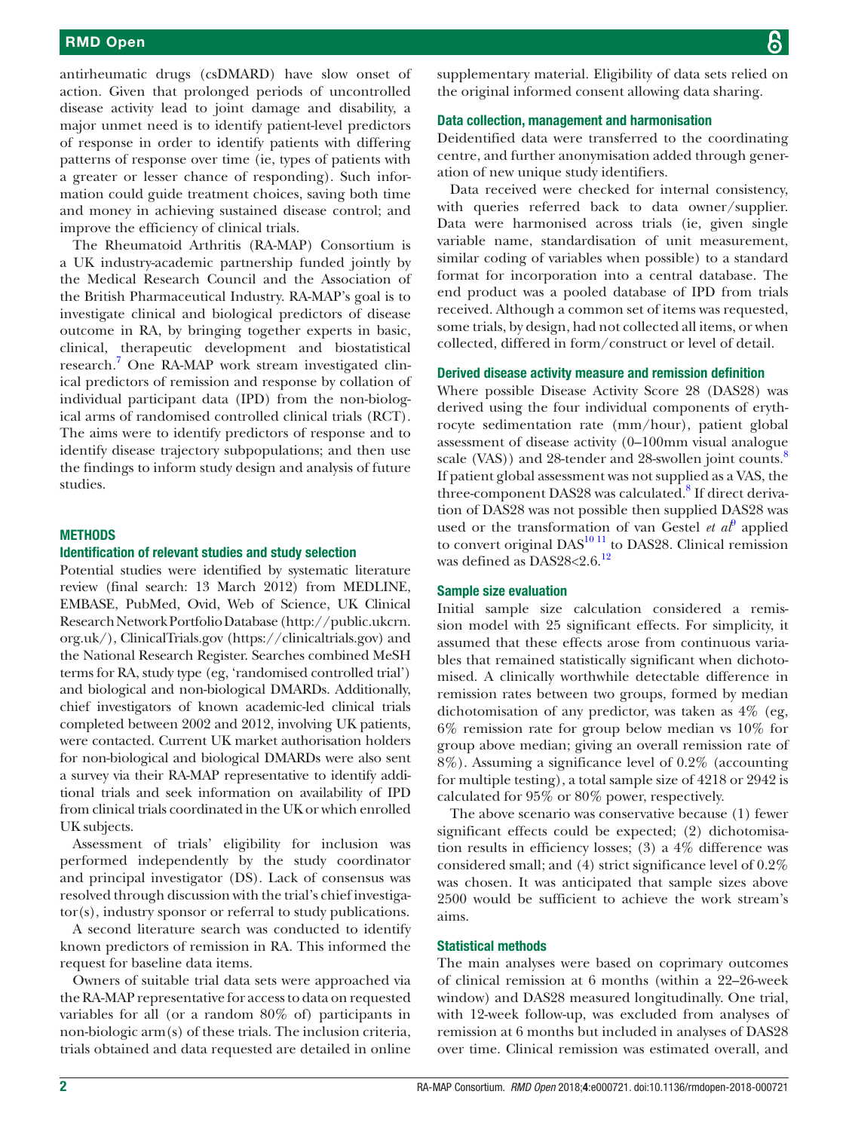antirheumatic drugs (csDMARD) have slow onset of action. Given that prolonged periods of uncontrolled disease activity lead to joint damage and disability, a major unmet need is to identify patient-level predictors of response in order to identify patients with differing patterns of response over time (ie, types of patients with a greater or lesser chance of responding). Such information could guide treatment choices, saving both time and money in achieving sustained disease control; and improve the efficiency of clinical trials.

The Rheumatoid Arthritis (RA-MAP) Consortium is a UK industry-academic partnership funded jointly by the Medical Research Council and the Association of the British Pharmaceutical Industry. RA-MAP's goal is to investigate clinical and biological predictors of disease outcome in RA, by bringing together experts in basic, clinical, therapeutic development and biostatistical research.[7](#page-11-3) One RA-MAP work stream investigated clinical predictors of remission and response by collation of individual participant data (IPD) from the non-biological arms of randomised controlled clinical trials (RCT). The aims were to identify predictors of response and to identify disease trajectory subpopulations; and then use the findings to inform study design and analysis of future studies.

#### **METHODS**

#### Identification of relevant studies and study selection

Potential studies were identified by systematic literature review (final search: 13 March 2012) from MEDLINE, EMBASE, PubMed, Ovid, Web of Science, UK Clinical Research Network Portfolio Database ([http://public.ukcrn.](http://public.ukcrn.org.uk/) [org.uk/](http://public.ukcrn.org.uk/)), ClinicalTrials.gov [\(https://clinicaltrials.gov](https://clinicaltrials.gov)) and the National Research Register. Searches combined MeSH terms for RA, study type (eg, 'randomised controlled trial') and biological and non-biological DMARDs. Additionally, chief investigators of known academic-led clinical trials completed between 2002 and 2012, involving UK patients, were contacted. Current UK market authorisation holders for non-biological and biological DMARDs were also sent a survey via their RA-MAP representative to identify additional trials and seek information on availability of IPD from clinical trials coordinated in the UK or which enrolled UK subjects.

Assessment of trials' eligibility for inclusion was performed independently by the study coordinator and principal investigator (DS). Lack of consensus was resolved through discussion with the trial's chief investigator(s), industry sponsor or referral to study publications.

A second literature search was conducted to identify known predictors of remission in RA. This informed the request for baseline data items.

Owners of suitable trial data sets were approached via the RA-MAP representative for access to data on requested variables for all (or a random 80% of) participants in non-biologic arm(s) of these trials. The inclusion criteria, trials obtained and data requested are detailed in [online](https://dx.doi.org/10.1136/rmdopen-2018-000721)

[supplementary material.](https://dx.doi.org/10.1136/rmdopen-2018-000721) Eligibility of data sets relied on the original informed consent allowing data sharing.

#### Data collection, management and harmonisation

Deidentified data were transferred to the coordinating centre, and further anonymisation added through generation of new unique study identifiers.

Data received were checked for internal consistency, with queries referred back to data owner/supplier. Data were harmonised across trials (ie, given single variable name, standardisation of unit measurement, similar coding of variables when possible) to a standard format for incorporation into a central database. The end product was a pooled database of IPD from trials received. Although a common set of items was requested, some trials, by design, had not collected all items, or when collected, differed in form/construct or level of detail.

#### Derived disease activity measure and remission definition

Where possible Disease Activity Score 28 (DAS28) was derived using the four individual components of erythrocyte sedimentation rate (mm/hour), patient global assessment of disease activity (0–100mm visual analogue scale (VAS)) and 2[8](#page-11-4)-tender and 28-swollen joint counts. $8^{\circ}$ If patient global assessment was not supplied as a VAS, the three-component DAS2[8](#page-11-4) was calculated.<sup>8</sup> If direct derivation of DAS28 was not possible then supplied DAS28 was used or the transformation of van Gestel  $et\ a^{\beta}$  applied to convert original  $DAS^{10\,11}$  to DAS28. Clinical remission was defined as DAS28<2.6.<sup>[12](#page-11-7)</sup>

#### Sample size evaluation

Initial sample size calculation considered a remission model with 25 significant effects. For simplicity, it assumed that these effects arose from continuous variables that remained statistically significant when dichotomised. A clinically worthwhile detectable difference in remission rates between two groups, formed by median dichotomisation of any predictor, was taken as  $4\%$  (eg, 6% remission rate for group below median vs 10% for group above median; giving an overall remission rate of 8%). Assuming a significance level of 0.2% (accounting for multiple testing), a total sample size of 4218 or 2942 is calculated for 95% or 80% power, respectively.

The above scenario was conservative because (1) fewer significant effects could be expected; (2) dichotomisation results in efficiency losses; (3) a 4% difference was considered small; and (4) strict significance level of 0.2% was chosen. It was anticipated that sample sizes above 2500 would be sufficient to achieve the work stream's aims.

## Statistical methods

The main analyses were based on coprimary outcomes of clinical remission at 6 months (within a 22–26-week window) and DAS28 measured longitudinally. One trial, with 12-week follow-up, was excluded from analyses of remission at 6 months but included in analyses of DAS28 over time. Clinical remission was estimated overall, and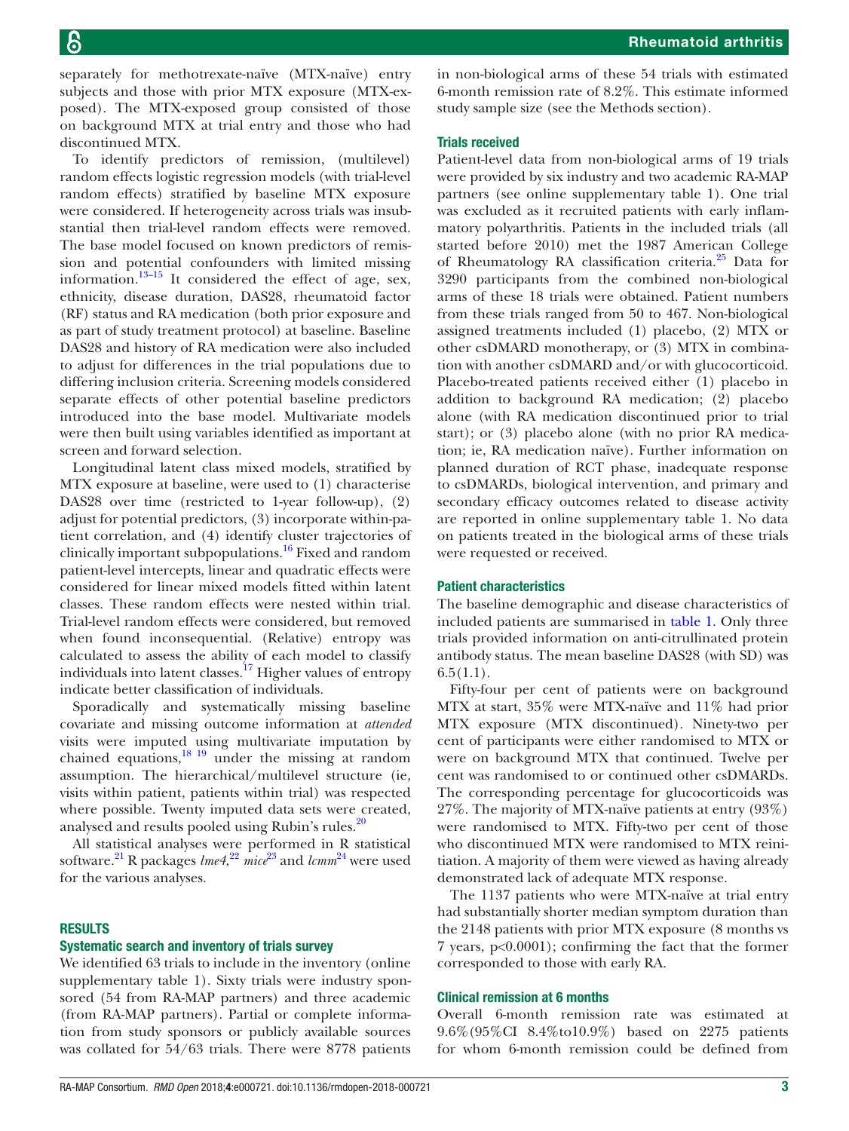separately for methotrexate-naïve (MTX-naïve) entry subjects and those with prior MTX exposure (MTX-exposed). The MTX-exposed group consisted of those on background MTX at trial entry and those who had discontinued MTX.

To identify predictors of remission, (multilevel) random effects logistic regression models (with trial-level random effects) stratified by baseline MTX exposure were considered. If heterogeneity across trials was insubstantial then trial-level random effects were removed. The base model focused on known predictors of remission and potential confounders with limited missing information. $13-15$  It considered the effect of age, sex, ethnicity, disease duration, DAS28, rheumatoid factor (RF) status and RA medication (both prior exposure and as part of study treatment protocol) at baseline. Baseline DAS28 and history of RA medication were also included to adjust for differences in the trial populations due to differing inclusion criteria. Screening models considered separate effects of other potential baseline predictors introduced into the base model. Multivariate models were then built using variables identified as important at screen and forward selection.

Longitudinal latent class mixed models, stratified by MTX exposure at baseline, were used to (1) characterise DAS28 over time (restricted to 1-year follow-up), (2) adjust for potential predictors, (3) incorporate within-patient correlation, and (4) identify cluster trajectories of clinically important subpopulations.[16](#page-11-9) Fixed and random patient-level intercepts, linear and quadratic effects were considered for linear mixed models fitted within latent classes. These random effects were nested within trial. Trial-level random effects were considered, but removed when found inconsequential. (Relative) entropy was calculated to assess the ability of each model to classify individuals into latent classes.<sup>[17](#page-11-10)</sup> Higher values of entropy indicate better classification of individuals.

Sporadically and systematically missing baseline covariate and missing outcome information at *attended* visits were imputed using multivariate imputation by chained equations,  $\frac{18}{19}$  under the missing at random assumption. The hierarchical/multilevel structure (ie, visits within patient, patients within trial) was respected where possible. Twenty imputed data sets were created, analysed and results pooled using Rubin's rules.<sup>20</sup>

All statistical analyses were performed in R statistical software[.21](#page-11-13) R packages *lme4*, [22](#page-11-14) *mice*[23](#page-11-15) and *lcmm*[24](#page-11-16) were used for the various analyses.

#### **RESULTS**

## Systematic search and inventory of trials survey

We identified 63 trials to include in the inventory [\(online](https://dx.doi.org/10.1136/rmdopen-2018-000721) [supplementary table 1](https://dx.doi.org/10.1136/rmdopen-2018-000721)). Sixty trials were industry sponsored (54 from RA-MAP partners) and three academic (from RA-MAP partners). Partial or complete information from study sponsors or publicly available sources was collated for 54/63 trials. There were 8778 patients

in non-biological arms of these 54 trials with estimated 6-month remission rate of 8.2%. This estimate informed study sample size (see the Methods section).

#### Trials received

Patient-level data from non-biological arms of 19 trials were provided by six industry and two academic RA-MAP partners (see [online supplementary table 1](https://dx.doi.org/10.1136/rmdopen-2018-000721)). One trial was excluded as it recruited patients with early inflammatory polyarthritis. Patients in the included trials (all started before 2010) met the 1987 American College of Rheumatology RA classification criteria.<sup>25</sup> Data for 3290 participants from the combined non-biological arms of these 18 trials were obtained. Patient numbers from these trials ranged from 50 to 467. Non-biological assigned treatments included (1) placebo, (2) MTX or other csDMARD monotherapy, or (3) MTX in combination with another csDMARD and/or with glucocorticoid. Placebo-treated patients received either (1) placebo in addition to background RA medication; (2) placebo alone (with RA medication discontinued prior to trial start); or (3) placebo alone (with no prior RA medication; ie, RA medication naïve). Further information on planned duration of RCT phase, inadequate response to csDMARDs, biological intervention, and primary and secondary efficacy outcomes related to disease activity are reported in [online supplementary table 1](https://dx.doi.org/10.1136/rmdopen-2018-000721). No data on patients treated in the biological arms of these trials were requested or received.

#### Patient characteristics

The baseline demographic and disease characteristics of included patients are summarised in [table](#page-3-0) 1. Only three trials provided information on anti-citrullinated protein antibody status. The mean baseline DAS28 (with SD) was  $6.5(1.1)$ .

Fifty-four per cent of patients were on background MTX at start, 35% were MTX-naïve and 11% had prior MTX exposure (MTX discontinued). Ninety-two per cent of participants were either randomised to MTX or were on background MTX that continued. Twelve per cent was randomised to or continued other csDMARDs. The corresponding percentage for glucocorticoids was 27%. The majority of MTX-naïve patients at entry (93%) were randomised to MTX. Fifty-two per cent of those who discontinued MTX were randomised to MTX reinitiation. A majority of them were viewed as having already demonstrated lack of adequate MTX response.

The 1137 patients who were MTX-naïve at trial entry had substantially shorter median symptom duration than the 2148 patients with prior MTX exposure (8 months vs 7 years, p<0.0001); confirming the fact that the former corresponded to those with early RA.

## Clinical remission at 6 months

Overall 6-month remission rate was estimated at 9.6%(95%CI 8.4%to10.9%) based on 2275 patients for whom 6-month remission could be defined from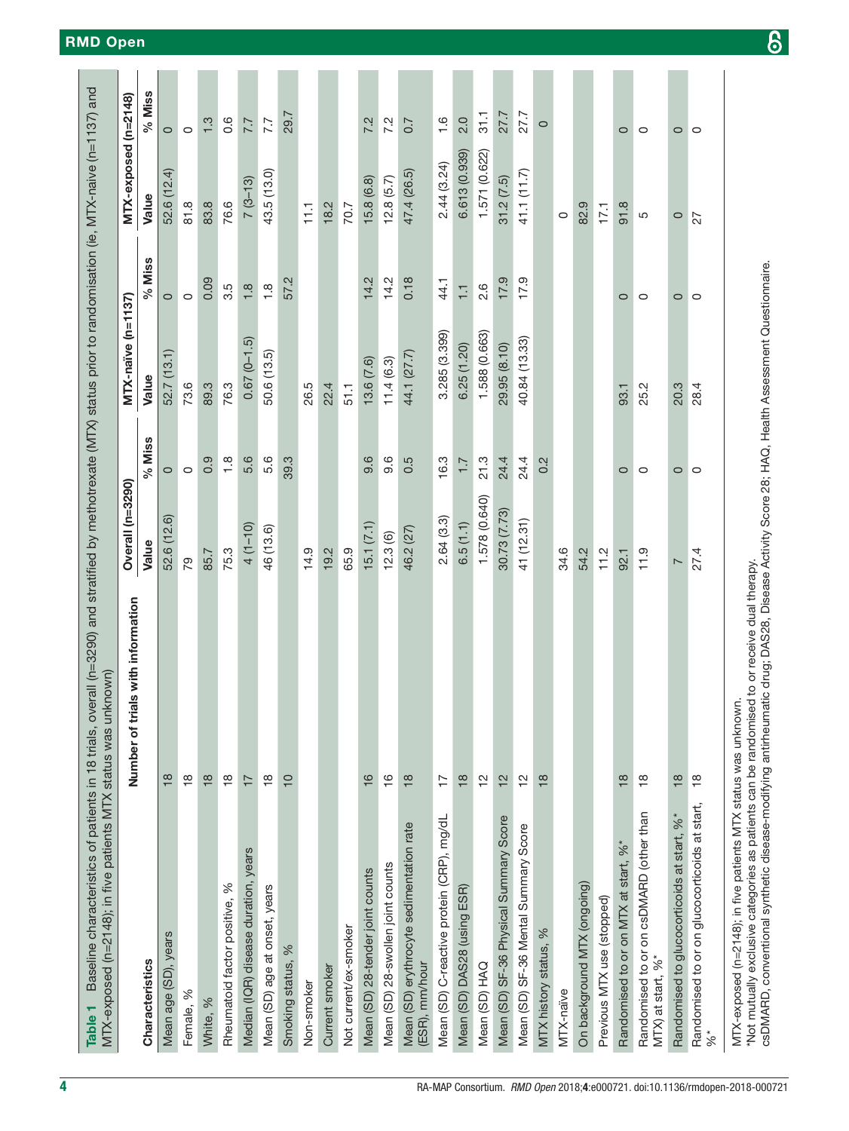<span id="page-3-0"></span>

|                                                                                                                                                                                                                                                                                                                | Is with information<br>Number of trial | Overall (n=3290) |                  | MTX-naïve (n=1137) |               | MTX-exposed (n=2148) |               |
|----------------------------------------------------------------------------------------------------------------------------------------------------------------------------------------------------------------------------------------------------------------------------------------------------------------|----------------------------------------|------------------|------------------|--------------------|---------------|----------------------|---------------|
| Characteristics                                                                                                                                                                                                                                                                                                |                                        | Value            | $%$ Miss         | Value              | Miss<br>್ಧ    | Value                | $%$ Miss      |
| Mean age (SD), years                                                                                                                                                                                                                                                                                           | $\frac{8}{1}$                          | 52.6 (12.6)      | $\circ$          | 52.7(13.1)         | $\circ$       | 52.6 (12.4)          | $\circ$       |
| Female, %                                                                                                                                                                                                                                                                                                      | $\overset{\infty}{\mathbf{-}}$         | 67               | $\circ$          | 73.6               | $\circ$       | 81.8                 | $\circ$       |
| White, %                                                                                                                                                                                                                                                                                                       | $\frac{8}{3}$                          | 85.7             | 0.9              | 89.3               | 0.09          | 83.8                 | $\frac{3}{2}$ |
| Rheumatoid factor positive, %                                                                                                                                                                                                                                                                                  | $\frac{\infty}{1}$                     | 75.3             | $\frac{8}{1}$    | 76.3               | 3.5           | 76.6                 | 0.6           |
| Median (IQR) disease duration, years                                                                                                                                                                                                                                                                           | $\overline{1}$                         | $4(1 - 10)$      | 5.6              | $0.67(0-1.5)$      | 1.8           | $7(3-13)$            | 7.7           |
| Mean (SD) age at onset, years                                                                                                                                                                                                                                                                                  | $\frac{\infty}{\tau}$                  | 46 (13.6)        | 5.6              | 50.6 (13.5)        | $\frac{8}{1}$ | 43.5 (13.0)          | 7.7           |
| $\%$<br>Smoking status,                                                                                                                                                                                                                                                                                        | $\overline{C}$                         |                  | 39.3             |                    | 57.2          |                      | 29.7          |
| Non-smoker                                                                                                                                                                                                                                                                                                     |                                        | 14.9             |                  | 26.5               |               | $\frac{1}{11}$       |               |
| Current smoker                                                                                                                                                                                                                                                                                                 |                                        | 19.2             |                  | 22.4               |               | 18.2                 |               |
| Not current/ex-smoker                                                                                                                                                                                                                                                                                          |                                        | 65.9             |                  | 51.1               |               | 70.7                 |               |
| Mean (SD) 28-tender joint counts                                                                                                                                                                                                                                                                               | $\frac{6}{1}$                          | 15.1(7.1)        | 9.6              | 13.6(7.6)          | 14.2          | 15.8(6.8)            | 7.2           |
| Mean (SD) 28-swollen joint counts                                                                                                                                                                                                                                                                              | $\frac{6}{1}$                          | 12.3(6)          | 9.6              | 11.4(6.3)          | 14.2          | 12.8(5.7)            | 7.2           |
| Mean (SD) erythrocyte sedimentation rate<br>(ESR), mm/hour                                                                                                                                                                                                                                                     | $\frac{8}{10}$                         | 46.2 (27)        | 0.5              | 44.1 (27.7)        | 0.18          | 47.4 (26.5)          | 0.7           |
| Mean (SD) C-reactive protein (CRP), mg/dL                                                                                                                                                                                                                                                                      | $\overline{1}$                         | 2.64(3.3)        | 16.3             | 3.285 (3.399)      | 44.1          | 2.44 (3.24)          | 1.6           |
| Mean (SD) DAS28 (using ESR)                                                                                                                                                                                                                                                                                    | $\frac{8}{1}$                          | 6.5(1.1)         | $\overline{1}$ . | 6.25(1.20)         | H             | 6.613 (0.939)        | 2.0           |
| Mean (SD) HAQ                                                                                                                                                                                                                                                                                                  | $\frac{1}{2}$                          | 1.578 (0.640)    | 21.3             | 1.588 (0.663)      | 2.6           | 1.571 (0.622)        | 31.1          |
| Mean (SD) SF-36 Physical Summary Score                                                                                                                                                                                                                                                                         | $\frac{1}{2}$                          | 30.73 (7.73)     | 24.4             | 29.95 (8.10)       | 17.9          | 31.2(7.5)            | 27.7          |
| Mean (SD) SF-36 Mental Summary Score                                                                                                                                                                                                                                                                           | $\frac{1}{2}$                          | 41 (12.31)       | 24.4             | 40.84 (13.33)      | 17.9          | 41.1 (11.7)          | 27.7          |
| MTX history status, %                                                                                                                                                                                                                                                                                          | $\frac{8}{1}$                          |                  | 0.2              |                    |               |                      | $\circ$       |
| MTX-naïve                                                                                                                                                                                                                                                                                                      |                                        | 34.6             |                  |                    |               | $\circ$              |               |
| On background MTX (ongoing)                                                                                                                                                                                                                                                                                    |                                        | 54.2             |                  |                    |               | 82.9                 |               |
| Previous MTX use (stopped)                                                                                                                                                                                                                                                                                     |                                        | 11.2             |                  |                    |               | 17.1                 |               |
| Randomised to or on MTX at start, %*                                                                                                                                                                                                                                                                           | $\frac{8}{1}$                          | 92.1             | $\circ$          | 93.1               | $\circ$       | 91.8                 | $\circ$       |
| Randomised to or on csDMARD (other than<br>MTX) at start, %*                                                                                                                                                                                                                                                   | $\frac{\infty}{1}$                     | 11.9             | $\circ$          | 25.2               | $\circ$       | 5                    | $\circ$       |
| Randomised to glucocorticoids at start, %*                                                                                                                                                                                                                                                                     | $\frac{8}{1}$                          | $\overline{ }$   | $\circ$          | 20.3               | $\circ$       | $\circ$              | $\circ$       |
| Randomised to or on glucocorticoids at start,<br>%                                                                                                                                                                                                                                                             | $\frac{\infty}{\tau}$                  | 27.4             | $\circ$          | 28.4               | $\circ$       | 27                   | $\circ$       |
| csDMARD, conventional synthetic disease-modifying antirheumatic drug; DAS28, Disease Activity Score 28; HAQ, Health Assessment Questionnaire.<br>"Not mutually exclusive categories as patients can be randomised to or receive dual therapy.<br>MTX-exposed (n=2148); in five patients MTX status was unknown |                                        |                  |                  |                    |               |                      |               |

 $\overline{6}$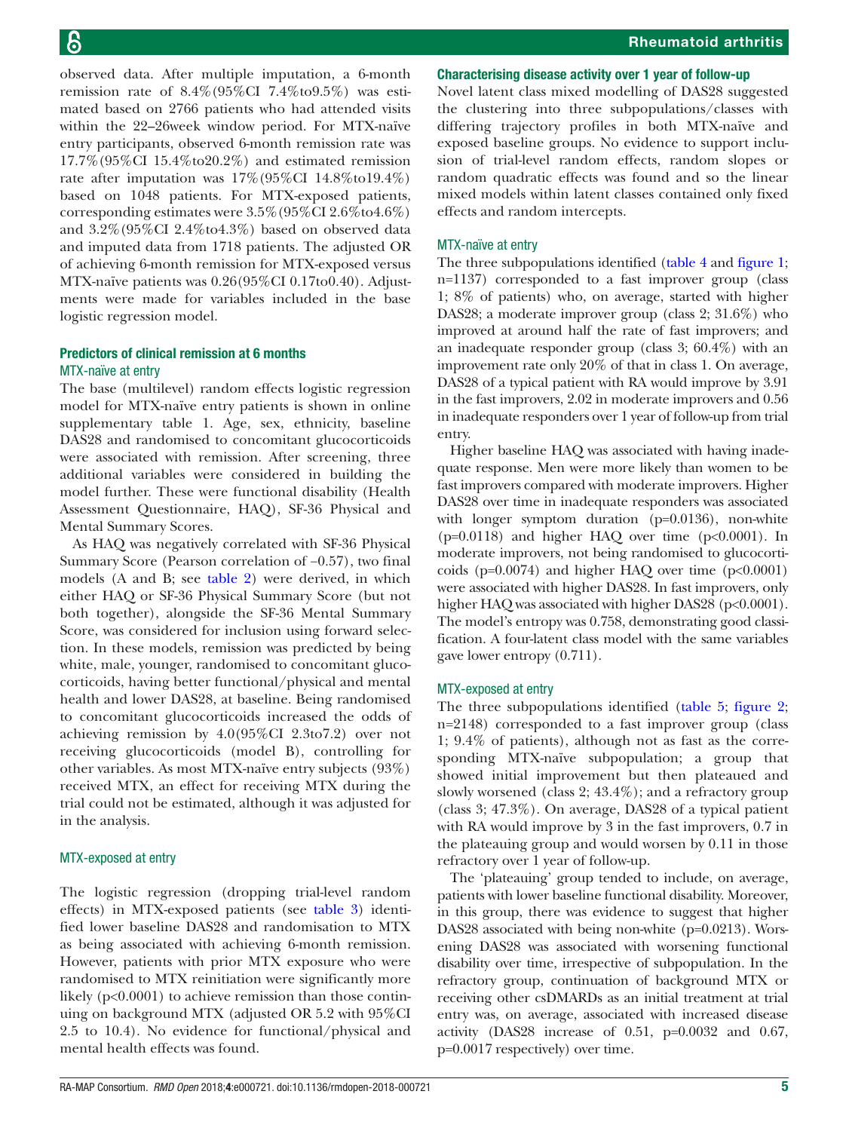observed data. After multiple imputation, a 6-month remission rate of 8.4%(95%CI 7.4%to9.5%) was estimated based on 2766 patients who had attended visits within the 22–26week window period. For MTX-naïve entry participants, observed 6-month remission rate was 17.7%(95%CI 15.4%to20.2%) and estimated remission rate after imputation was 17%(95%CI 14.8%to19.4%) based on 1048 patients. For MTX-exposed patients, corresponding estimates were 3.5%(95%CI 2.6%to4.6%) and 3.2%(95%CI 2.4%to4.3%) based on observed data and imputed data from 1718 patients. The adjusted OR of achieving 6-month remission for MTX-exposed versus MTX-naïve patients was 0.26(95%CI 0.17to0.40). Adjustments were made for variables included in the base logistic regression model.

## Predictors of clinical remission at 6 months MTX-naïve at entry

The base (multilevel) random effects logistic regression model for MTX-naïve entry patients is shown in [online](https://dx.doi.org/10.1136/rmdopen-2018-000721) [supplementary table 1](https://dx.doi.org/10.1136/rmdopen-2018-000721). Age, sex, ethnicity, baseline DAS28 and randomised to concomitant glucocorticoids were associated with remission. After screening, three additional variables were considered in building the model further. These were functional disability (Health Assessment Questionnaire, HAQ), SF-36 Physical and Mental Summary Scores.

As HAQ was negatively correlated with SF-36 Physical Summary Score (Pearson correlation of −0.57), two final models (A and B; see [table](#page-5-0) 2) were derived, in which either HAQ or SF-36 Physical Summary Score (but not both together), alongside the SF-36 Mental Summary Score, was considered for inclusion using forward selection. In these models, remission was predicted by being white, male, younger, randomised to concomitant glucocorticoids, having better functional/physical and mental health and lower DAS28, at baseline. Being randomised to concomitant glucocorticoids increased the odds of achieving remission by 4.0(95%CI 2.3to7.2) over not receiving glucocorticoids (model B), controlling for other variables. As most MTX-naïve entry subjects (93%) received MTX, an effect for receiving MTX during the trial could not be estimated, although it was adjusted for in the analysis.

# MTX-exposed at entry

The logistic regression (dropping trial-level random effects) in MTX-exposed patients (see [table](#page-6-0) 3) identified lower baseline DAS28 and randomisation to MTX as being associated with achieving 6-month remission. However, patients with prior MTX exposure who were randomised to MTX reinitiation were significantly more likely (p<0.0001) to achieve remission than those continuing on background MTX (adjusted OR 5.2 with 95%CI 2.5 to 10.4). No evidence for functional/physical and mental health effects was found.

# Characterising disease activity over 1 year of follow-up

Novel latent class mixed modelling of DAS28 suggested the clustering into three subpopulations/classes with differing trajectory profiles in both MTX-naïve and exposed baseline groups. No evidence to support inclusion of trial-level random effects, random slopes or random quadratic effects was found and so the linear mixed models within latent classes contained only fixed effects and random intercepts.

# MTX-naïve at entry

The three subpopulations identified (table 4 and [figure](#page-8-0) 1; n=1137) corresponded to a fast improver group (class 1; 8% of patients) who, on average, started with higher DAS28; a moderate improver group (class 2; 31.6%) who improved at around half the rate of fast improvers; and an inadequate responder group (class 3; 60.4%) with an improvement rate only 20% of that in class 1. On average, DAS28 of a typical patient with RA would improve by 3.91 in the fast improvers, 2.02 in moderate improvers and 0.56 in inadequate responders over 1 year of follow-up from trial entry.

Higher baseline HAQ was associated with having inadequate response. Men were more likely than women to be fast improvers compared with moderate improvers. Higher DAS28 over time in inadequate responders was associated with longer symptom duration (p=0.0136), non-white  $(p=0.0118)$  and higher HAQ over time  $(p<0.0001)$ . In moderate improvers, not being randomised to glucocorticoids ( $p=0.0074$ ) and higher HAQ over time ( $p<0.0001$ ) were associated with higher DAS28. In fast improvers, only higher HAQ was associated with higher DAS28 (p<0.0001). The model's entropy was 0.758, demonstrating good classification. A four-latent class model with the same variables gave lower entropy (0.711).

# MTX-exposed at entry

The three subpopulations identified (table 5; [figure](#page-9-0) 2; n=2148) corresponded to a fast improver group (class 1; 9.4% of patients), although not as fast as the corresponding MTX-naïve subpopulation; a group that showed initial improvement but then plateaued and slowly worsened (class 2; 43.4%); and a refractory group (class 3; 47.3%). On average, DAS28 of a typical patient with RA would improve by 3 in the fast improvers, 0.7 in the plateauing group and would worsen by 0.11 in those refractory over 1 year of follow-up.

The 'plateauing' group tended to include, on average, patients with lower baseline functional disability. Moreover, in this group, there was evidence to suggest that higher DAS28 associated with being non-white (p=0.0213). Worsening DAS28 was associated with worsening functional disability over time, irrespective of subpopulation. In the refractory group, continuation of background MTX or receiving other csDMARDs as an initial treatment at trial entry was, on average, associated with increased disease activity (DAS28 increase of 0.51, p=0.0032 and 0.67, p=0.0017 respectively) over time.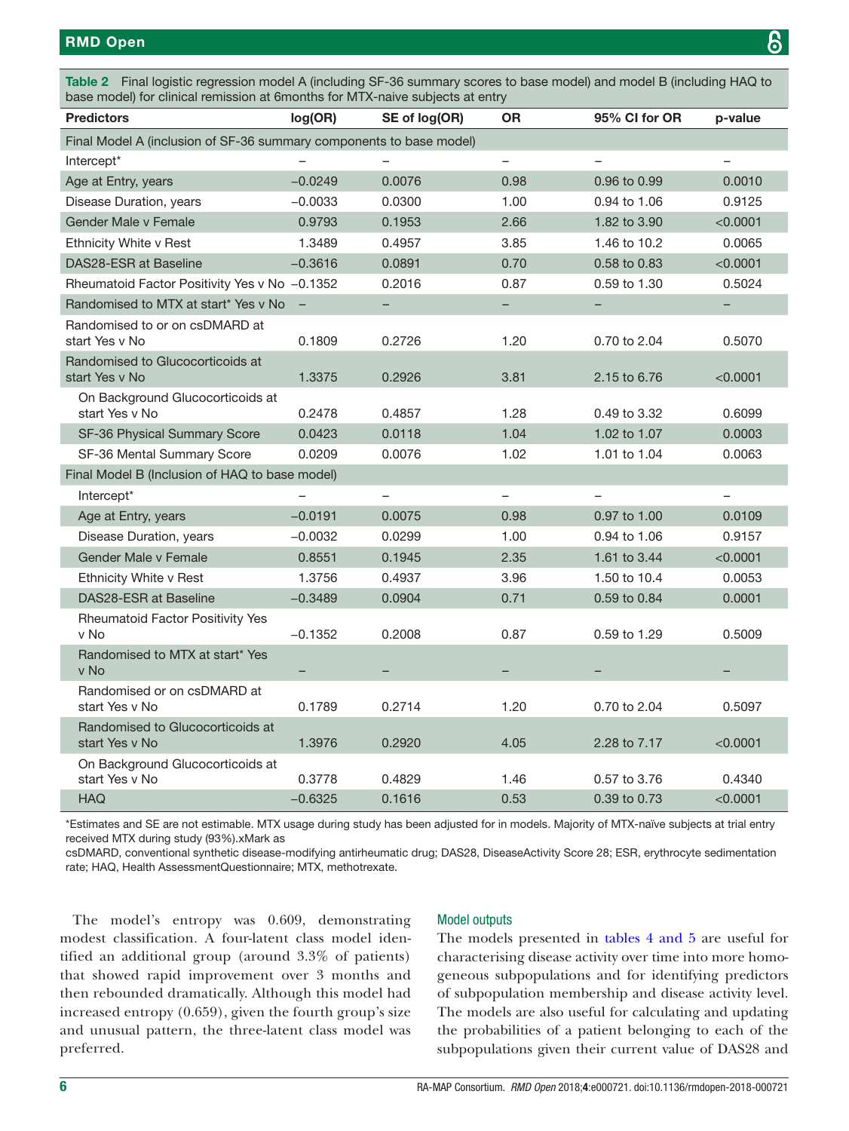<span id="page-5-0"></span>Table 2 Final logistic regression model A (including SF-36 summary scores to base model) and model B (including HAQ to base model) for clinical remission at 6months for MTX-naive subjects at entry

| <b>Predictors</b>                                                   | log(OR)   | SE of log(OR)     | <b>OR</b>         | 95% CI for OR     | p-value                  |
|---------------------------------------------------------------------|-----------|-------------------|-------------------|-------------------|--------------------------|
| Final Model A (inclusion of SF-36 summary components to base model) |           |                   |                   |                   |                          |
| Intercept*                                                          |           |                   | $\qquad \qquad -$ | $\qquad \qquad -$ | $\qquad \qquad -$        |
| Age at Entry, years                                                 | $-0.0249$ | 0.0076            | 0.98              | 0.96 to 0.99      | 0.0010                   |
| Disease Duration, years                                             | $-0.0033$ | 0.0300            | 1.00              | 0.94 to 1.06      | 0.9125                   |
| Gender Male v Female                                                | 0.9793    | 0.1953            | 2.66              | 1.82 to 3.90      | < 0.0001                 |
| Ethnicity White v Rest                                              | 1.3489    | 0.4957            | 3.85              | 1.46 to 10.2      | 0.0065                   |
| DAS28-ESR at Baseline                                               | $-0.3616$ | 0.0891            | 0.70              | 0.58 to 0.83      | < 0.0001                 |
| Rheumatoid Factor Positivity Yes v No -0.1352                       |           | 0.2016            | 0.87              | 0.59 to 1.30      | 0.5024                   |
| Randomised to MTX at start* Yes v No -                              |           |                   |                   |                   |                          |
| Randomised to or on csDMARD at<br>start Yes v No                    | 0.1809    | 0.2726            | 1.20              | 0.70 to 2.04      | 0.5070                   |
| Randomised to Glucocorticoids at<br>start Yes v No                  | 1.3375    | 0.2926            | 3.81              | 2.15 to 6.76      | < 0.0001                 |
| On Background Glucocorticoids at<br>start Yes v No                  | 0.2478    | 0.4857            | 1.28              | 0.49 to 3.32      | 0.6099                   |
| SF-36 Physical Summary Score                                        | 0.0423    | 0.0118            | 1.04              | 1.02 to 1.07      | 0.0003                   |
| SF-36 Mental Summary Score                                          | 0.0209    | 0.0076            | 1.02              | 1.01 to 1.04      | 0.0063                   |
| Final Model B (Inclusion of HAQ to base model)                      |           |                   |                   |                   |                          |
| Intercept*                                                          |           | $\qquad \qquad -$ | $\qquad \qquad -$ | $\qquad \qquad -$ | $\overline{\phantom{0}}$ |
| Age at Entry, years                                                 | $-0.0191$ | 0.0075            | 0.98              | 0.97 to 1.00      | 0.0109                   |
| Disease Duration, years                                             | $-0.0032$ | 0.0299            | 1.00              | 0.94 to 1.06      | 0.9157                   |
| Gender Male v Female                                                | 0.8551    | 0.1945            | 2.35              | 1.61 to 3.44      | < 0.0001                 |
| Ethnicity White v Rest                                              | 1.3756    | 0.4937            | 3.96              | 1.50 to 10.4      | 0.0053                   |
| DAS28-ESR at Baseline                                               | $-0.3489$ | 0.0904            | 0.71              | 0.59 to 0.84      | 0.0001                   |
| Rheumatoid Factor Positivity Yes<br>v No                            | $-0.1352$ | 0.2008            | 0.87              | 0.59 to 1.29      | 0.5009                   |
| Randomised to MTX at start* Yes<br>v No                             |           |                   |                   |                   |                          |
| Randomised or on csDMARD at<br>start Yes y No                       | 0.1789    | 0.2714            | 1.20              | 0.70 to 2.04      | 0.5097                   |
| Randomised to Glucocorticoids at<br>start Yes y No                  | 1.3976    | 0.2920            | 4.05              | 2.28 to 7.17      | < 0.0001                 |
| On Background Glucocorticoids at<br>start Yes v No                  | 0.3778    | 0.4829            | 1.46              | 0.57 to 3.76      | 0.4340                   |
| <b>HAQ</b>                                                          | $-0.6325$ | 0.1616            | 0.53              | 0.39 to 0.73      | < 0.0001                 |

\*Estimates and SE are not estimable. MTX usage during study has been adjusted for in models. Majority of MTX-naïve subjects at trial entry received MTX during study (93%).xMark as

csDMARD, conventional synthetic disease-modifying antirheumatic drug; DAS28, DiseaseActivity Score 28; ESR, erythrocyte sedimentation rate; HAQ, Health AssessmentQuestionnaire; MTX, methotrexate.

The model's entropy was 0.609, demonstrating modest classification. A four-latent class model identified an additional group (around 3.3% of patients) that showed rapid improvement over 3 months and then rebounded dramatically. Although this model had increased entropy (0.659), given the fourth group's size and unusual pattern, the three-latent class model was preferred.

# Model outputs

The models presented in tables 4 and 5 are useful for characterising disease activity over time into more homogeneous subpopulations and for identifying predictors of subpopulation membership and disease activity level. The models are also useful for calculating and updating the probabilities of a patient belonging to each of the subpopulations given their current value of DAS28 and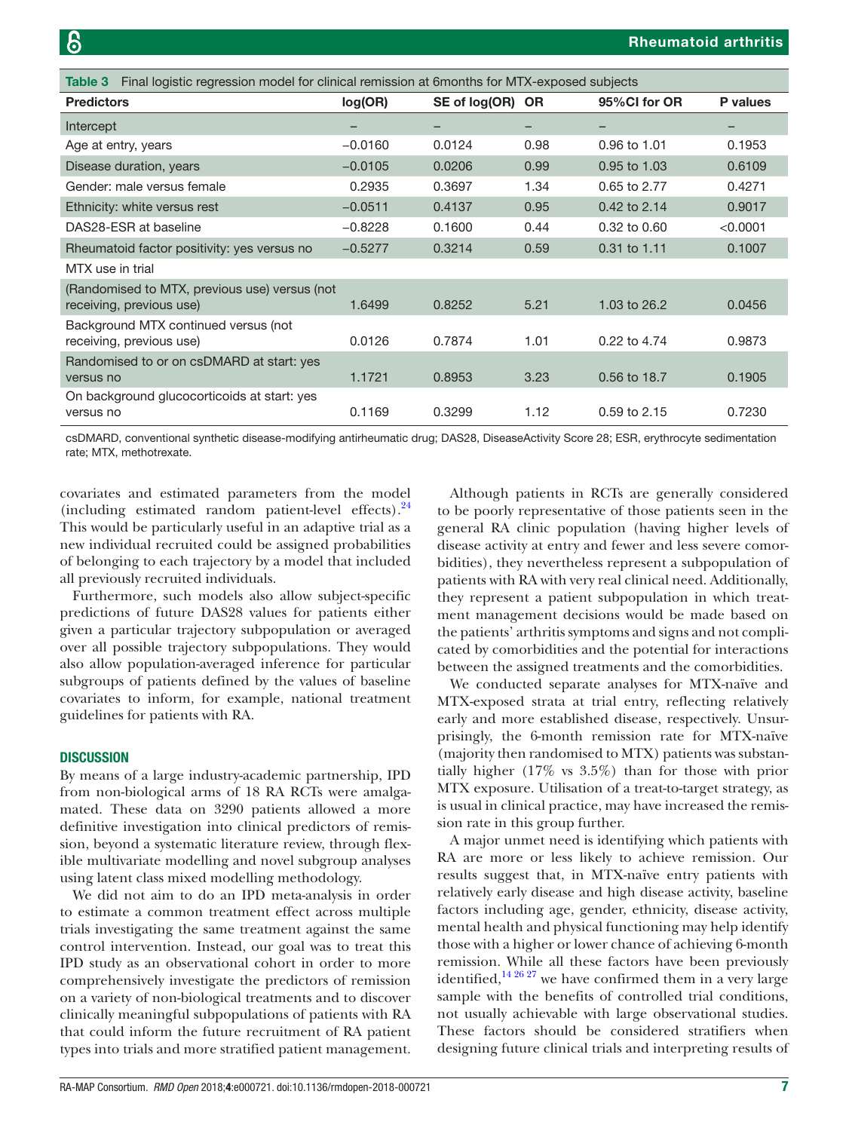<span id="page-6-0"></span>

| Final logistic regression model for clinical remission at 6months for MTX-exposed subjects<br>Table 3 |           |                  |      |              |          |
|-------------------------------------------------------------------------------------------------------|-----------|------------------|------|--------------|----------|
| <b>Predictors</b>                                                                                     | log(OR)   | SE of log(OR) OR |      | 95%CI for OR | P values |
| Intercept                                                                                             |           |                  |      |              |          |
| Age at entry, years                                                                                   | $-0.0160$ | 0.0124           | 0.98 | 0.96 to 1.01 | 0.1953   |
| Disease duration, years                                                                               | $-0.0105$ | 0.0206           | 0.99 | 0.95 to 1.03 | 0.6109   |
| Gender: male versus female                                                                            | 0.2935    | 0.3697           | 1.34 | 0.65 to 2.77 | 0.4271   |
| Ethnicity: white versus rest                                                                          | $-0.0511$ | 0.4137           | 0.95 | 0.42 to 2.14 | 0.9017   |
| DAS28-ESR at baseline                                                                                 | $-0.8228$ | 0.1600           | 0.44 | 0.32 to 0.60 | < 0.0001 |
| Rheumatoid factor positivity: yes versus no                                                           | $-0.5277$ | 0.3214           | 0.59 | 0.31 to 1.11 | 0.1007   |
| MTX use in trial                                                                                      |           |                  |      |              |          |
| (Randomised to MTX, previous use) versus (not<br>receiving, previous use)                             | 1.6499    | 0.8252           | 5.21 | 1.03 to 26.2 | 0.0456   |
| Background MTX continued versus (not<br>receiving, previous use)                                      | 0.0126    | 0.7874           | 1.01 | 0.22 to 4.74 | 0.9873   |
| Randomised to or on csDMARD at start: yes<br>versus no                                                | 1.1721    | 0.8953           | 3.23 | 0.56 to 18.7 | 0.1905   |
| On background glucocorticoids at start: yes<br>versus no                                              | 0.1169    | 0.3299           | 1.12 | 0.59 to 2.15 | 0.7230   |

csDMARD, conventional synthetic disease-modifying antirheumatic drug; DAS28, DiseaseActivity Score 28; ESR, erythrocyte sedimentation rate; MTX, methotrexate.

covariates and estimated parameters from the model (including estimated random patient-level effects). $24$ This would be particularly useful in an adaptive trial as a new individual recruited could be assigned probabilities of belonging to each trajectory by a model that included all previously recruited individuals.

Furthermore, such models also allow subject-specific predictions of future DAS28 values for patients either given a particular trajectory subpopulation or averaged over all possible trajectory subpopulations. They would also allow population-averaged inference for particular subgroups of patients defined by the values of baseline covariates to inform, for example, national treatment guidelines for patients with RA.

## **DISCUSSION**

By means of a large industry-academic partnership, IPD from non-biological arms of 18 RA RCTs were amalgamated. These data on 3290 patients allowed a more definitive investigation into clinical predictors of remission, beyond a systematic literature review, through flexible multivariate modelling and novel subgroup analyses using latent class mixed modelling methodology.

We did not aim to do an IPD meta-analysis in order to estimate a common treatment effect across multiple trials investigating the same treatment against the same control intervention. Instead, our goal was to treat this IPD study as an observational cohort in order to more comprehensively investigate the predictors of remission on a variety of non-biological treatments and to discover clinically meaningful subpopulations of patients with RA that could inform the future recruitment of RA patient types into trials and more stratified patient management.

Although patients in RCTs are generally considered to be poorly representative of those patients seen in the general RA clinic population (having higher levels of disease activity at entry and fewer and less severe comorbidities), they nevertheless represent a subpopulation of patients with RA with very real clinical need. Additionally, they represent a patient subpopulation in which treatment management decisions would be made based on the patients' arthritis symptoms and signs and not complicated by comorbidities and the potential for interactions between the assigned treatments and the comorbidities.

We conducted separate analyses for MTX-naïve and MTX-exposed strata at trial entry, reflecting relatively early and more established disease, respectively. Unsurprisingly, the 6-month remission rate for MTX-naïve (majority then randomised to MTX) patients was substantially higher (17% vs 3.5%) than for those with prior MTX exposure. Utilisation of a treat-to-target strategy, as is usual in clinical practice, may have increased the remission rate in this group further.

A major unmet need is identifying which patients with RA are more or less likely to achieve remission. Our results suggest that, in MTX-naïve entry patients with relatively early disease and high disease activity, baseline factors including age, gender, ethnicity, disease activity, mental health and physical functioning may help identify those with a higher or lower chance of achieving 6-month remission. While all these factors have been previously identified,  $14\frac{26\frac{27}{7}}{8}$  we have confirmed them in a very large sample with the benefits of controlled trial conditions, not usually achievable with large observational studies. These factors should be considered stratifiers when designing future clinical trials and interpreting results of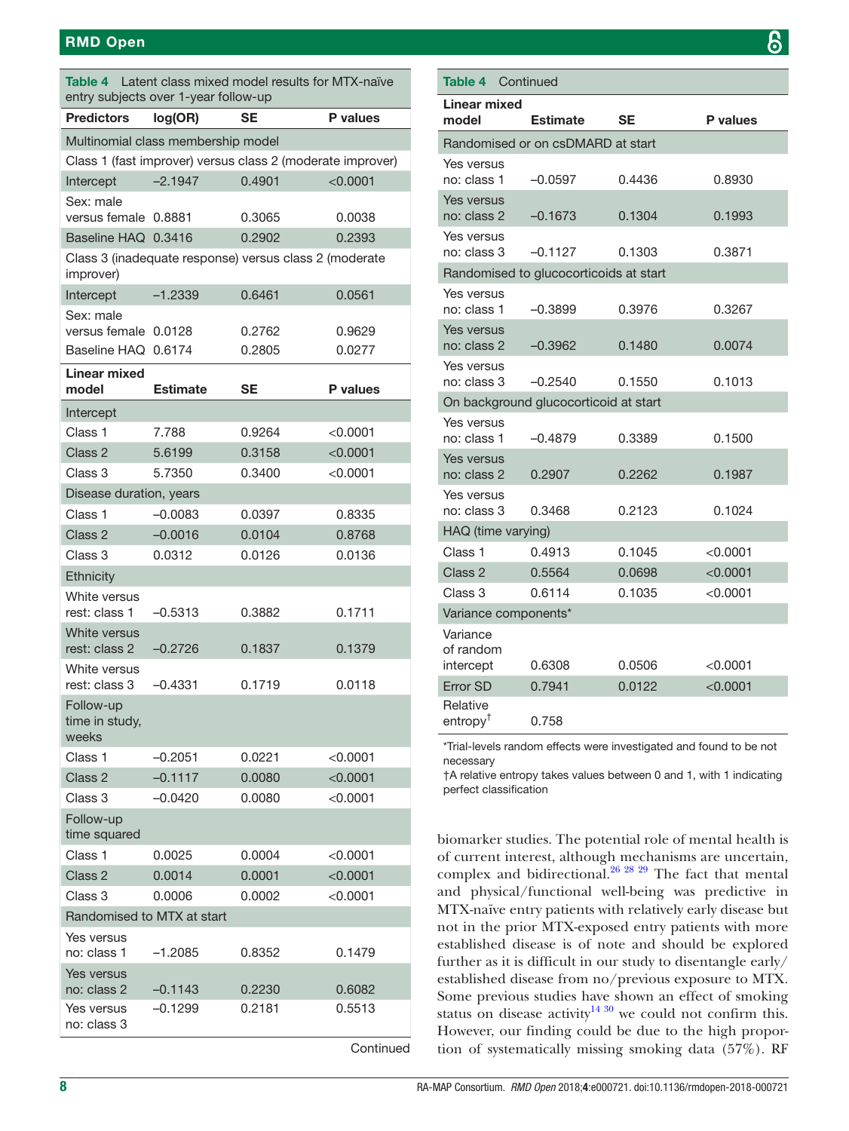# RMD Open

| Latent class mixed model results for MTX-naïve<br>Table 4<br>entry subjects over 1-year follow-up |                                    |                                                            |                 |  |
|---------------------------------------------------------------------------------------------------|------------------------------------|------------------------------------------------------------|-----------------|--|
| <b>Predictors</b>                                                                                 | log(OR)                            | SE                                                         | <b>P</b> values |  |
|                                                                                                   | Multinomial class membership model |                                                            |                 |  |
|                                                                                                   |                                    | Class 1 (fast improver) versus class 2 (moderate improver) |                 |  |
| Intercept                                                                                         | $-2.1947$                          | 0.4901                                                     | < 0.0001        |  |
| Sex: male<br>versus female                                                                        | 0.8881                             | 0.3065                                                     | 0.0038          |  |
| Baseline HAQ 0.3416                                                                               |                                    | 0.2902                                                     | 0.2393          |  |
|                                                                                                   |                                    | Class 3 (inadequate response) versus class 2 (moderate     |                 |  |
| improver)                                                                                         |                                    |                                                            |                 |  |
| Intercept                                                                                         | $-1.2339$                          | 0.6461                                                     | 0.0561          |  |
| Sex: male<br>versus female 0.0128                                                                 |                                    | 0.2762                                                     | 0.9629          |  |
| Baseline HAQ                                                                                      | 0.6174                             | 0.2805                                                     | 0.0277          |  |
|                                                                                                   |                                    |                                                            |                 |  |
| <b>Linear mixed</b><br>model                                                                      | <b>Estimate</b>                    | <b>SE</b>                                                  | <b>P</b> values |  |
|                                                                                                   |                                    |                                                            |                 |  |
| Intercept<br>Class 1                                                                              | 7.788                              | 0.9264                                                     | $<$ 0.0001      |  |
| Class 2                                                                                           | 5.6199                             | 0.3158                                                     | < 0.0001        |  |
| Class 3                                                                                           | 5.7350                             | 0.3400                                                     | $<$ 0.0001 $<$  |  |
| Disease duration, years                                                                           |                                    |                                                            |                 |  |
| Class 1                                                                                           | $-0.0083$                          | 0.0397                                                     | 0.8335          |  |
| Class 2                                                                                           | $-0.0016$                          | 0.0104                                                     | 0.8768          |  |
| Class 3                                                                                           | 0.0312                             | 0.0126                                                     | 0.0136          |  |
| Ethnicity                                                                                         |                                    |                                                            |                 |  |
| White versus                                                                                      |                                    |                                                            |                 |  |
| rest: class 1                                                                                     | $-0.5313$                          | 0.3882                                                     | 0.1711          |  |
| White versus                                                                                      |                                    |                                                            |                 |  |
| rest: class 2                                                                                     | $-0.2726$                          | 0.1837                                                     | 0.1379          |  |
| White versus<br>rest: class 3                                                                     | $-0.4331$                          | 0.1719                                                     | 0.0118          |  |
| Follow-up                                                                                         |                                    |                                                            |                 |  |
| time in study,                                                                                    |                                    |                                                            |                 |  |
| weeks                                                                                             |                                    |                                                            |                 |  |
| Class 1                                                                                           | $-0.2051$                          | 0.0221                                                     | $<$ 0.0001 $<$  |  |
| Class 2                                                                                           | $-0.1117$                          | 0.0080                                                     | < 0.0001        |  |
| Class 3                                                                                           | $-0.0420$                          | 0.0080                                                     | < 0.0001        |  |
| Follow-up<br>time squared                                                                         |                                    |                                                            |                 |  |
| Class 1                                                                                           | 0.0025                             | 0.0004                                                     | $<$ 0.0001      |  |
| Class 2                                                                                           | 0.0014                             | 0.0001                                                     | < 0.0001        |  |
| Class 3                                                                                           | 0.0006                             | 0.0002                                                     | < 0.0001        |  |
| Randomised to MTX at start                                                                        |                                    |                                                            |                 |  |
| Yes versus<br>no: class 1                                                                         | $-1.2085$                          | 0.8352                                                     | 0.1479          |  |
| <b>Yes versus</b>                                                                                 |                                    |                                                            |                 |  |
| no: class 2                                                                                       | -0.1143                            | 0.2230                                                     | 0.6082          |  |
| Yes versus<br>no: class 3                                                                         | $-0.1299$                          | 0.2181                                                     | 0.5513          |  |
|                                                                                                   |                                    |                                                            | Confinuoc       |  |

| <b>Table 4</b> Continued |
|--------------------------|
|                          |

| Linear mixed<br>model                  | <b>Estimate</b>                       | SE     | <b>P</b> values |  |  |
|----------------------------------------|---------------------------------------|--------|-----------------|--|--|
|                                        | Randomised or on csDMARD at start     |        |                 |  |  |
| Yes versus<br>no: class 1              | $-0.0597$                             | 0.4436 | 0.8930          |  |  |
| <b>Yes versus</b><br>no: class 2       | $-0.1673$                             | 0.1304 | 0.1993          |  |  |
| Yes versus<br>no: class 3              | $-0.1127$                             | 0.1303 | 0.3871          |  |  |
| Randomised to glucocorticoids at start |                                       |        |                 |  |  |
| Yes versus<br>no: class 1              | $-0.3899$                             | 0.3976 | 0.3267          |  |  |
| <b>Yes versus</b><br>no: class 2       | $-0.3962$                             | 0.1480 | 0.0074          |  |  |
| Yes versus<br>no: class 3              | $-0.2540$                             | 0.1550 | 0.1013          |  |  |
|                                        | On background glucocorticoid at start |        |                 |  |  |
| Yes versus<br>no: class 1              | $-0.4879$                             | 0.3389 | 0.1500          |  |  |
| <b>Yes versus</b><br>no: class 2       | 0.2907                                | 0.2262 | 0.1987          |  |  |
| Yes versus<br>no: class 3              | 0.3468                                | 0.2123 | 0.1024          |  |  |
| HAQ (time varying)                     |                                       |        |                 |  |  |
| Class 1                                | 0.4913                                | 0.1045 | $<$ 0.0001      |  |  |
| Class 2                                | 0.5564                                | 0.0698 | < 0.0001        |  |  |
| Class 3                                | 0.6114                                | 0.1035 | < 0.0001        |  |  |
| Variance components*                   |                                       |        |                 |  |  |
| Variance<br>of random<br>intercept     | 0.6308                                | 0.0506 | < 0.0001        |  |  |
| Error SD                               | 0.7941                                | 0.0122 | $<$ 0.0001      |  |  |
| Relative<br>entropy <sup>†</sup>       | 0.758                                 |        |                 |  |  |

\*Trial-levels random effects were investigated and found to be not necessary

†A relative entropy takes values between 0 and 1, with 1 indicating perfect classification

biomarker studies. The potential role of mental health is of current interest, although mechanisms are uncertain, complex and bidirectional.<sup>26</sup> <sup>28</sup> <sup>29</sup> The fact that mental and physical/functional well-being was predictive in MTX-naïve entry patients with relatively early disease but not in the prior MTX-exposed entry patients with more established disease is of note and should be explored further as it is difficult in our study to disentangle early/ established disease from no/previous exposure to MTX. Some previous studies have shown an effect of smoking status on disease activity<sup>14 30</sup> we could not confirm this. However, our finding could be due to the high proportion of systematically missing smoking data (57%). RF

Continued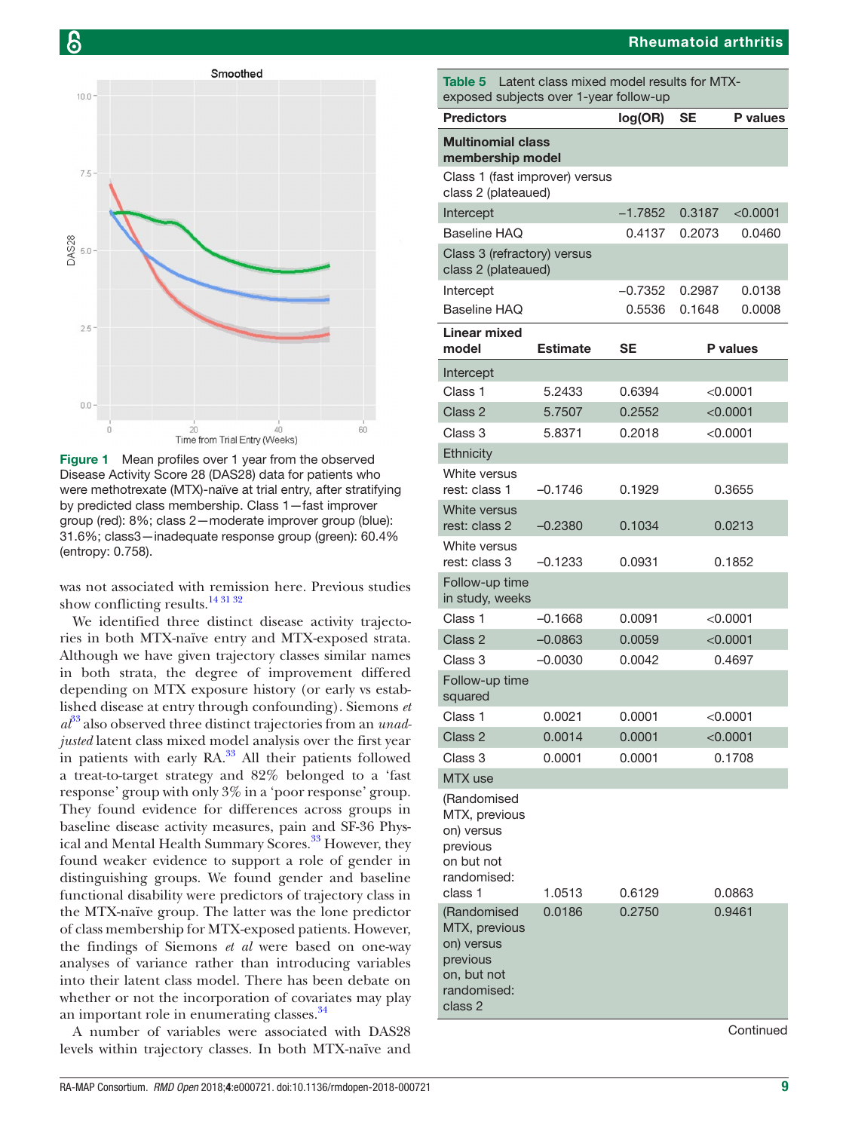

<span id="page-8-0"></span>Figure 1 Mean profiles over 1 year from the observed Disease Activity Score 28 (DAS28) data for patients who were methotrexate (MTX)-naïve at trial entry, after stratifying by predicted class membership. Class 1—fast improver group (red): 8%; class 2—moderate improver group (blue): 31.6%; class3—inadequate response group (green): 60.4% (entropy: 0.758).

was not associated with remission here. Previous studies show conflicting results.<sup>14 31 32</sup>

We identified three distinct disease activity trajectories in both MTX-naïve entry and MTX-exposed strata. Although we have given trajectory classes similar names in both strata, the degree of improvement differed depending on MTX exposure history (or early vs established disease at entry through confounding). Siemons *et al*[33](#page-11-20) also observed three distinct trajectories from an *unadjusted* latent class mixed model analysis over the first year in patients with early  $RA^{33}$  $RA^{33}$  $RA^{33}$  All their patients followed a treat-to-target strategy and 82% belonged to a 'fast response' group with only 3% in a 'poor response' group. They found evidence for differences across groups in baseline disease activity measures, pain and SF-36 Phys-ical and Mental Health Summary Scores.<sup>[33](#page-11-20)</sup> However, they found weaker evidence to support a role of gender in distinguishing groups. We found gender and baseline functional disability were predictors of trajectory class in the MTX-naïve group. The latter was the lone predictor of class membership for MTX-exposed patients. However, the findings of Siemons *et al* were based on one-way analyses of variance rather than introducing variables into their latent class model. There has been debate on whether or not the incorporation of covariates may play an important role in enumerating classes.<sup>[34](#page-11-21)</sup>

A number of variables were associated with DAS28 levels within trajectory classes. In both MTX-naïve and

| Latent class mixed model results for MTX-<br>Table 5<br>exposed subjects over 1-year follow-up |                 |           |           |                 |  |
|------------------------------------------------------------------------------------------------|-----------------|-----------|-----------|-----------------|--|
| <b>Predictors</b>                                                                              |                 | log(OR)   | <b>SE</b> | <b>P</b> values |  |
| <b>Multinomial class</b><br>membership model                                                   |                 |           |           |                 |  |
| Class 1 (fast improver) versus<br>class 2 (plateaued)                                          |                 |           |           |                 |  |
| Intercept                                                                                      |                 | $-1.7852$ | 0.3187    | < 0.0001        |  |
| Baseline HAQ                                                                                   |                 | 0.4137    | 0.2073    | 0.0460          |  |
| Class 3 (refractory) versus<br>class 2 (plateaued)                                             |                 |           |           |                 |  |
| Intercept                                                                                      |                 | $-0.7352$ | 0.2987    | 0.0138          |  |
| <b>Baseline HAQ</b>                                                                            |                 | 0.5536    | 0.1648    | 0.0008          |  |
| <b>Linear mixed</b><br>model                                                                   | <b>Estimate</b> | <b>SE</b> |           | <b>P</b> values |  |
| Intercept                                                                                      |                 |           |           |                 |  |
| Class 1                                                                                        | 5.2433          | 0.6394    |           | < 0.0001        |  |
| Class 2                                                                                        | 5.7507          | 0.2552    |           | < 0.0001        |  |
| Class 3                                                                                        | 5.8371          | 0.2018    |           | $<$ 0.0001      |  |
| Ethnicity                                                                                      |                 |           |           |                 |  |
| White versus<br>rest: class 1                                                                  | $-0.1746$       | 0.1929    |           | 0.3655          |  |
| White versus<br>rest: class 2                                                                  | $-0.2380$       | 0.1034    |           | 0.0213          |  |
| White versus<br>rest: class 3                                                                  | $-0.1233$       | 0.0931    |           | 0.1852          |  |
| Follow-up time<br>in study, weeks                                                              |                 |           |           |                 |  |
| Class 1                                                                                        | $-0.1668$       | 0.0091    |           | $<$ 0.0001      |  |
| Class 2                                                                                        | $-0.0863$       | 0.0059    |           | < 0.0001        |  |
| Class 3                                                                                        | $-0.0030$       | 0.0042    |           | 0.4697          |  |
| Follow-up time<br>squared                                                                      |                 |           |           |                 |  |
| Class 1                                                                                        | 0.0021          | 0.0001    |           | < 0.0001        |  |
| Class 2                                                                                        | 0.0014          | 0.0001    |           | < 0.0001        |  |
| Class 3                                                                                        | 0.0001          | 0.0001    |           | 0.1708          |  |
| MTX use                                                                                        |                 |           |           |                 |  |
| (Randomised<br>MTX, previous<br>on) versus<br>previous<br>on but not<br>randomised:<br>class 1 | 1.0513          | 0.6129    |           | 0.0863          |  |
| (Randomised                                                                                    | 0.0186          | 0.2750    |           | 0.9461          |  |
| MTX, previous<br>on) versus<br>previous<br>on, but not<br>randomised:<br>class 2               |                 |           |           |                 |  |

**Continued**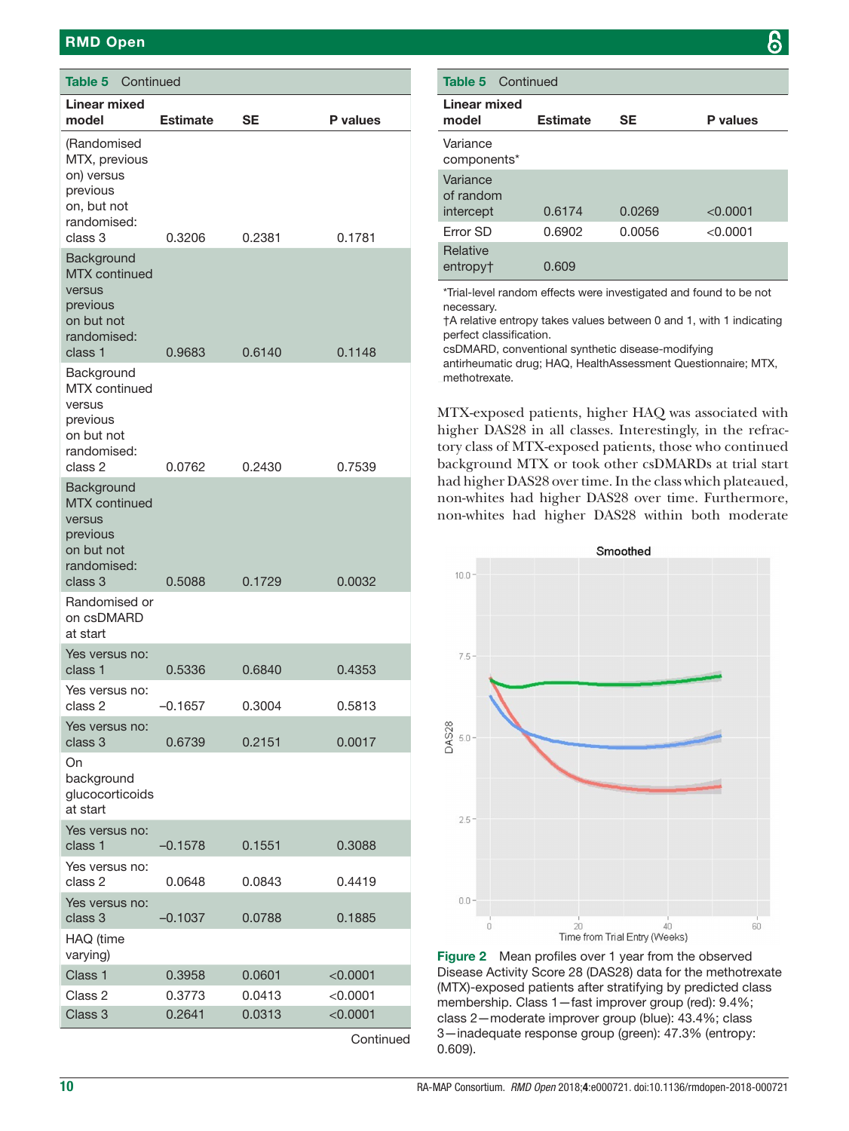# RMD Open

| <b>Table 5</b><br>Continued                                                                      |                 |        |                 |
|--------------------------------------------------------------------------------------------------|-----------------|--------|-----------------|
| Linear mixed<br>model                                                                            | <b>Estimate</b> | SE     | <b>P</b> values |
| (Randomised<br>MTX, previous<br>on) versus<br>previous<br>on, but not<br>randomised:<br>class 3  | 0.3206          | 0.2381 | 0.1781          |
| Background<br><b>MTX</b> continued<br>versus<br>previous<br>on but not<br>randomised:<br>class 1 | 0.9683          | 0.6140 | 0.1148          |
| Background<br><b>MTX</b> continued<br>versus<br>previous<br>on but not<br>randomised:<br>class 2 | 0.0762          | 0.2430 | 0.7539          |
| Background<br><b>MTX</b> continued<br>versus<br>previous<br>on but not<br>randomised:<br>class 3 | 0.5088          | 0.1729 | 0.0032          |
| Randomised or<br>on csDMARD<br>at start                                                          |                 |        |                 |
| Yes versus no:<br>class 1                                                                        | 0.5336          | 0.6840 | 0.4353          |
| Yes versus no:<br>class 2                                                                        | -0.1657         | 0.3004 | 0.5813          |
| Yes versus no:<br>class 3                                                                        | 0.6739          | 0.2151 | 0.0017          |
| On<br>background<br>glucocorticoids<br>at start                                                  |                 |        |                 |
| Yes versus no:<br>class 1                                                                        | $-0.1578$       | 0.1551 | 0.3088          |
| Yes versus no:<br>class 2                                                                        | 0.0648          | 0.0843 | 0.4419          |
| Yes versus no:<br>class 3                                                                        | $-0.1037$       | 0.0788 | 0.1885          |
| HAQ (time<br>varying)                                                                            |                 |        |                 |
| Class 1                                                                                          | 0.3958          | 0.0601 | < 0.0001        |
| Class 2                                                                                          | 0.3773          | 0.0413 | $<$ 0.0001      |
| Class 3                                                                                          | 0.2641          | 0.0313 | < 0.0001        |
|                                                                                                  |                 |        |                 |

**Continued** 

| <b>Table 5</b> Continued           |                 |        |                 |
|------------------------------------|-----------------|--------|-----------------|
| Linear mixed<br>model              | <b>Estimate</b> | SE     | <b>P</b> values |
| Variance<br>components*            |                 |        |                 |
| Variance<br>of random<br>intercept | 0.6174          | 0.0269 | < 0.0001        |
| Error SD                           | 0.6902          | 0.0056 | < 0.0001        |
| Relative<br>entropy <sup>+</sup>   | 0.609           |        |                 |

\*Trial-level random effects were investigated and found to be not necessary.

†A relative entropy takes values between 0 and 1, with 1 indicating perfect classification.

csDMARD, conventional synthetic disease-modifying

antirheumatic drug; HAQ, HealthAssessment Questionnaire; MTX, methotrexate.

MTX-exposed patients, higher HAQ was associated with higher DAS28 in all classes. Interestingly, in the refractory class of MTX-exposed patients, those who continued background MTX or took other csDMARDs at trial start had higher DAS28 over time. In the class which plateaued, non-whites had higher DAS28 over time. Furthermore, non-whites had higher DAS28 within both moderate



<span id="page-9-0"></span>Figure 2 Mean profiles over 1 year from the observed Disease Activity Score 28 (DAS28) data for the methotrexate (MTX)-exposed patients after stratifying by predicted class membership. Class 1—fast improver group (red): 9.4%; class 2—moderate improver group (blue): 43.4%; class 3—inadequate response group (green): 47.3% (entropy: 0.609).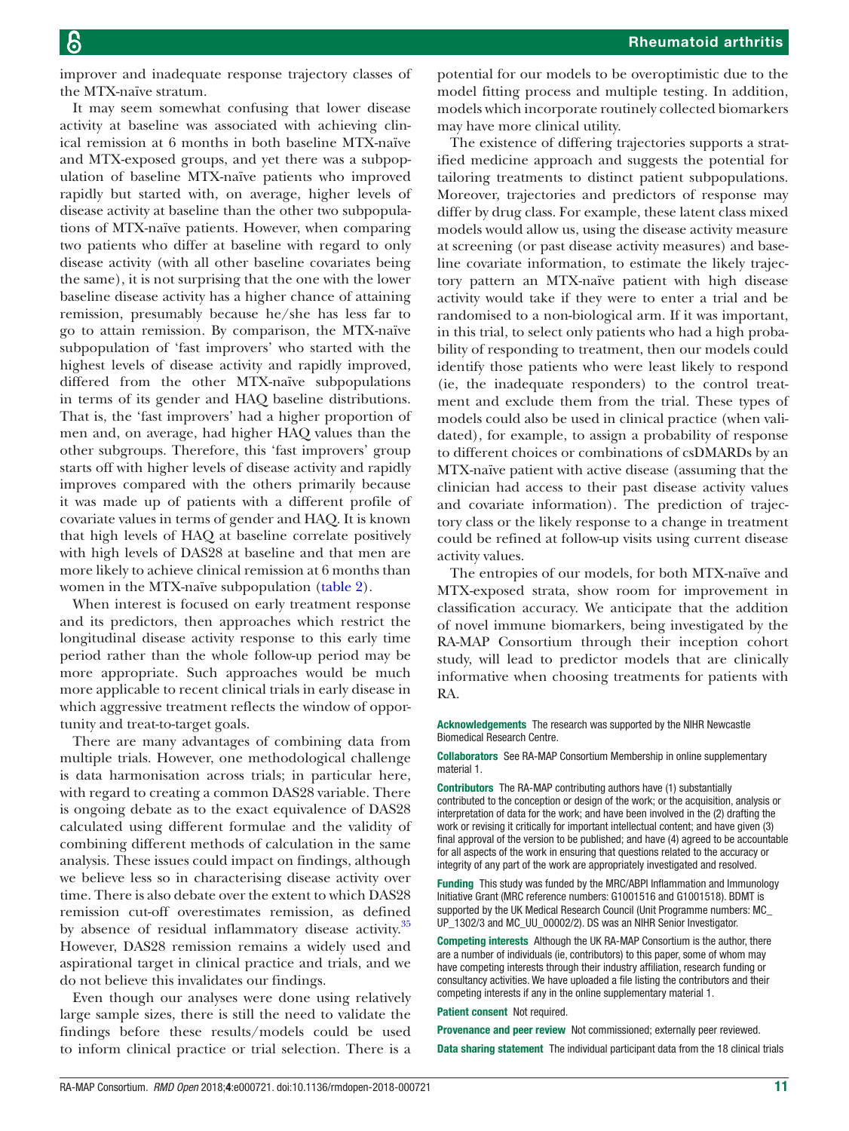improver and inadequate response trajectory classes of the MTX-naïve stratum.

It may seem somewhat confusing that lower disease activity at baseline was associated with achieving clinical remission at 6 months in both baseline MTX-naïve and MTX-exposed groups, and yet there was a subpopulation of baseline MTX-naïve patients who improved rapidly but started with, on average, higher levels of disease activity at baseline than the other two subpopulations of MTX-naïve patients. However, when comparing two patients who differ at baseline with regard to only disease activity (with all other baseline covariates being the same), it is not surprising that the one with the lower baseline disease activity has a higher chance of attaining remission, presumably because he/she has less far to go to attain remission. By comparison, the MTX-naïve subpopulation of 'fast improvers' who started with the highest levels of disease activity and rapidly improved, differed from the other MTX-naïve subpopulations in terms of its gender and HAQ baseline distributions. That is, the 'fast improvers' had a higher proportion of men and, on average, had higher HAQ values than the other subgroups. Therefore, this 'fast improvers' group starts off with higher levels of disease activity and rapidly improves compared with the others primarily because it was made up of patients with a different profile of covariate values in terms of gender and HAQ. It is known that high levels of HAQ at baseline correlate positively with high levels of DAS28 at baseline and that men are more likely to achieve clinical remission at 6 months than women in the MTX-naïve subpopulation [\(table](#page-5-0) 2).

When interest is focused on early treatment response and its predictors, then approaches which restrict the longitudinal disease activity response to this early time period rather than the whole follow-up period may be more appropriate. Such approaches would be much more applicable to recent clinical trials in early disease in which aggressive treatment reflects the window of opportunity and treat-to-target goals.

There are many advantages of combining data from multiple trials. However, one methodological challenge is data harmonisation across trials; in particular here, with regard to creating a common DAS28 variable. There is ongoing debate as to the exact equivalence of DAS28 calculated using different formulae and the validity of combining different methods of calculation in the same analysis. These issues could impact on findings, although we believe less so in characterising disease activity over time. There is also debate over the extent to which DAS28 remission cut-off overestimates remission, as defined by absence of residual inflammatory disease activity.<sup>35</sup> However, DAS28 remission remains a widely used and aspirational target in clinical practice and trials, and we do not believe this invalidates our findings.

Even though our analyses were done using relatively large sample sizes, there is still the need to validate the findings before these results/models could be used to inform clinical practice or trial selection. There is a

potential for our models to be overoptimistic due to the model fitting process and multiple testing. In addition, models which incorporate routinely collected biomarkers may have more clinical utility.

The existence of differing trajectories supports a stratified medicine approach and suggests the potential for tailoring treatments to distinct patient subpopulations. Moreover, trajectories and predictors of response may differ by drug class. For example, these latent class mixed models would allow us, using the disease activity measure at screening (or past disease activity measures) and baseline covariate information, to estimate the likely trajectory pattern an MTX-naïve patient with high disease activity would take if they were to enter a trial and be randomised to a non-biological arm. If it was important, in this trial, to select only patients who had a high probability of responding to treatment, then our models could identify those patients who were least likely to respond (ie, the inadequate responders) to the control treatment and exclude them from the trial. These types of models could also be used in clinical practice (when validated), for example, to assign a probability of response to different choices or combinations of csDMARDs by an MTX-naïve patient with active disease (assuming that the clinician had access to their past disease activity values and covariate information). The prediction of trajectory class or the likely response to a change in treatment could be refined at follow-up visits using current disease activity values.

The entropies of our models, for both MTX-naïve and MTX-exposed strata, show room for improvement in classification accuracy. We anticipate that the addition of novel immune biomarkers, being investigated by the RA-MAP Consortium through their inception cohort study, will lead to predictor models that are clinically informative when choosing treatments for patients with RA.

#### Acknowledgements The research was supported by the NIHR Newcastle Biomedical Research Centre.

Collaborators See RA-MAP Consortium Membership in [online supplementary](https://dx.doi.org/10.1136/rmdopen-2018-000721)  [material 1.](https://dx.doi.org/10.1136/rmdopen-2018-000721)

Contributors The RA-MAP contributing authors have (1) substantially contributed to the conception or design of the work; or the acquisition, analysis or interpretation of data for the work; and have been involved in the (2) drafting the work or revising it critically for important intellectual content; and have given (3) final approval of the version to be published; and have (4) agreed to be accountable for all aspects of the work in ensuring that questions related to the accuracy or integrity of any part of the work are appropriately investigated and resolved.

Funding This study was funded by the MRC/ABPI Inflammation and Immunology Initiative Grant (MRC reference numbers: G1001516 and G1001518). BDMT is supported by the UK Medical Research Council (Unit Programme numbers: MC\_ UP\_1302/3 and MC\_UU\_00002/2). DS was an NIHR Senior Investigator.

Competing interests Although the UK RA-MAP Consortium is the author, there are a number of individuals (ie, contributors) to this paper, some of whom may have competing interests through their industry affiliation, research funding or consultancy activities. We have uploaded a file listing the contributors and their competing interests if any in the [online supplementary material 1](https://dx.doi.org/10.1136/rmdopen-2018-000721).

#### Patient consent Not required.

Provenance and peer review Not commissioned; externally peer reviewed. Data sharing statement The individual participant data from the 18 clinical trials